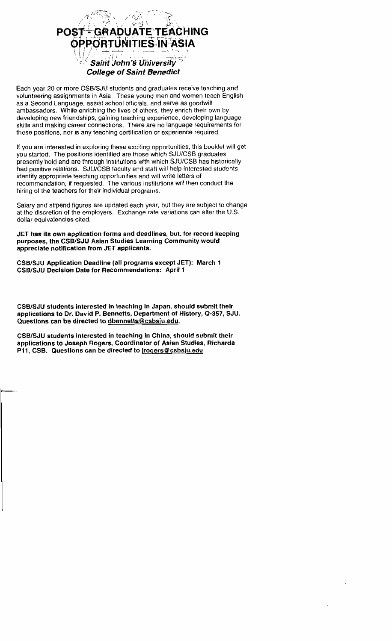

Each year 20 or more CSBlSJU students and graduates receive teaching and volunteering assignments in Asia. These young men and women teach English as a Second Language, assist school officials, and serve as goodwill ambassadors. While enriching the lives of olhers, they enrich their own by developing new friendships, gaining teaching experience, developing language skills and making career connections. There are no language requirements for these **positions,** nor is any teaching certification or experience required.

It you are interested in exploring **these** exciting opportunilies, this bookkt will get you started. The positions identified are those which SJU/CSB graduates presently hold and are through institutions with which SJUfCSB has historically had positive relations. **SJUlCSB** faculty and staff will help interested students identify appropriate teaching opportunities and will write letters of recommendation, if requested. The various institutions will then conduct the hiring of the teachers for their individual programs.

Salary and stipend figures are updated each year, but they are subject lo change at the discretion of the employers. Exchange rate variations can alter the U.S. dollar equivalencies cited.

**JET has its own application forms and deadlines, but. for record keeping purposes, the CSBlSJU Asian Studies Learning Community would appreciate notification from JET applicants.** 

**CSB/SJU Application Deadline (all programs except JET): March 1 CSBlSJU Decislon Date for Recommendations: April 1** 

**CSBlSdU students interested in teaching in Japan, should submit their applications to Dr. David P. Bennetts, Department of History, Q-357, SJU. Questions can be directed to dbennetts@csbsju.edu.** 

**CSBlSJU students interested in teaching in China, should submit their applications to Joseph Rogers, Coordinator of Asian Studies, Richarda P11, CSB. Questions can be directed to jrogers@csbsju.edu.**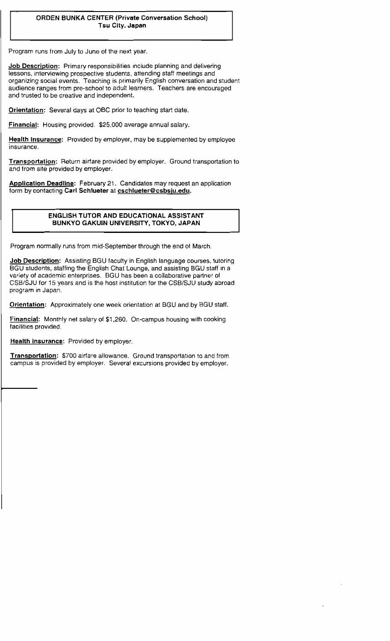## **ORDEN BUNKA CENTER (Private Conversation School) Tsu City. Japan**

Program runs from July to June of the next year.

**Job Description:** Primary responsibilities include planning and delivering lessons, interviewing prospective students, attending staff meetings and organizing social events. Teaching is primarily English conversation and student audience ranges from pre-school to adult learners. Teachers are encouraged and trusted to be creative and independent.

**Orientation:** Several **days at** OBC prior to teaching start date.

**Financial:** Housing provided. **\$25,000** average annual salary.

**Health Insurance:** Provided **by** employer, may be supptemented by employee insurance.

**Transportation:** Return airfare provided by employer. Ground transportation to and trom site provided **by** employer.

**Application Deadllne:** February **21.** Candidates may request an application form by contacting Carl Schlueter at **cschlueter@csbsiu.edu.** 

## **ENGLISH TUTOR AND EDUCATIONAL ASSISTANT BUNKYO GAKUIN UNIVERSITY, TOKYO, JAPAN**

Program normally runs from mid-September through the end of March.

**Job Description:** Assisting **BGU faculty** in English language courses, tutoring BGU students, staffing the English Chat Lounge, and assisting BGU staff in a variety of academic enterprises. BGU has been a collaborative partner of CSB/SJU for 15 years and is the host institution for the CSBISJU **study** abroad program in Japan.

**Orientation:** Approximately one **week** orientation at BGU and by BGU staff.

Financial: Monthly net salary of \$1,260. On-campus housing with cooking facilities provided.

**Health insurance:** Provided by employer.

Transportation: \$700 airfare allowance. Ground transportation to and from campus is provided by employer. Several excursions provided by employer.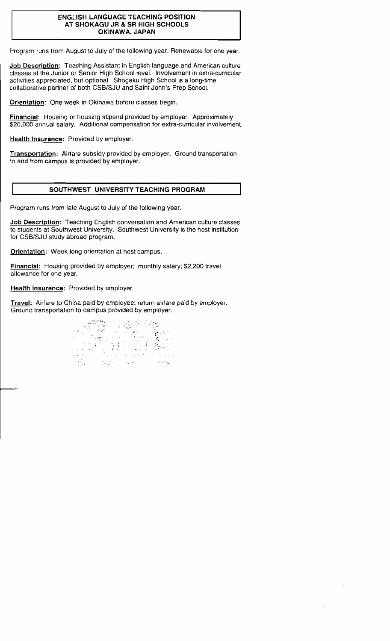#### **ENGLISH LANGUAGE TEACHING POSITION AT SHOKAGU JR** & **SR HIGH SCHOOLS OKINAWA, JAPAN**

Program runs from August to July of the following year. Renewabie for one year.

**Job Description:** Teaching Assistant in English language and American culture classes at the Junior or Senior High School **level.** Involvement in extra-curricular activities appreciated, but optional. Shogaku High School is a long-time collaborative partner of both **CSBlSJU** and Saint John's Prep School.

**Orientation:** One week in Okinawa before classes begin.

**Financial:** Housing or housing stipend provided by employer. Approximately \$20,000 annual salary. Additional compensation for extra-curricular involvement.

**Health Insurance:** Provided **by** employer.

**Transportation:** Airfare subsidy provided by employer. Ground transportation to and from campus is provided by employer.

## **SOUTHWEST UNIVERSITY TEACHING PROGRAM**

Program runs from late **August** to July of the following year.

**Job Description:** Teaching English conversation and American culture classes to students at Southwest University. Southwest University is the host institution for CSB/SJU study abroad program.

**Orientation: Week** long orientation at host campus.

**Financial:** Housing **provided by** employer; monthly salary; \$2,200 travel allowance for one year.

**Health Insurance:** Provided by employer.

**Travel:** Airfare to China paid by employee; return airlare paid by employer. Ground transportation to campus provided by employer.

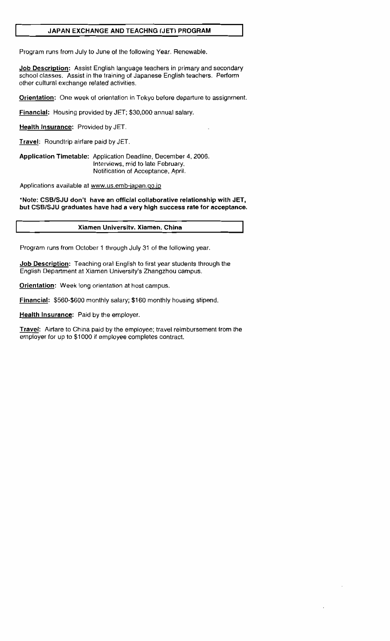## I **JAPAN EXCHANGE AND TEACHNG [JET) PROGRAM**

Program runs from July to June of the following Year. Renewable.

**Job Descriation:** Assist English language teachers in primary and **secondary**  school classes. **Assist** in the training of Japanese English teachers. Perform other cultural exchange related activities.

**Orientation:** One week **of** orientation in Tokyo before departure to assignment.

**Financial:** Housing **provided by** JET; \$30,000 annual salary.

**Health Insurance:** Provided by JET

**Travel:** Roundtrip airfare **paid** by JET

**Application Timetable:** Application Deadline, December 4,2006. Interviews, mid to late February. Notification of Acceptance, April.

Applications available at www.us.emb-japan.go.jp

**"Note: CSBlSJU don't have an official collaborative relationship with JET, but CSBlSJU graduates have had a very high success rate for acceptance.** 

### **Xtamen Universitv. Xiamen. China**

Program runs from October I through July 31 of the following year

**Job Description:** Teaching **oral** English to first year students through the English Department at Xiamen University's Zhangzhou campus.

**Orientation: Week long** orientation at host campus.

**Financial:** \$560-\$600 monthly salary; \$1 60 monthly housing stipend.

**Health Insurance:** Paid **by the** employer

**Travel:** Airfare to China paid by the employee; travel reimbursement lrom the employer for up to \$1 000 if employee completes contract.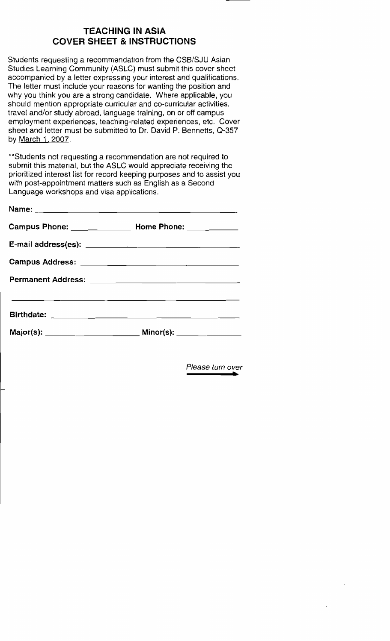# **TEACHING IN ASIA COVER SHEET** & **INSTRUCTIONS**

Students requesting a recommendation from the CSB/SJU Asian Studies Learning Community (ASLC) must submit this cover sheet accompanied by a letter expressing your interest and qualifications. The letter must include your reasons for wanting the position and why you think you are a strong candidate. Where applicable, you should mention appropriate curricular and co-curricular activities, travel and/or study abroad, language training, on or off campus employment experiences, teaching-related experiences, etc. Cover sheet and letter **must** be submitted to Dr. David P. Bennetts, **0-357**  by March I, **2007.** 

\*\*Students not requesting a recommendation are not required to submit this material, but the ASLC would appreciate receiving the prioritized interest list for record keeping purposes and to assist you with post-appointment matters such as English as a Second Language workshops and visa applications.

| Campus Phone: _______________ Home Phone: __________                                      |  |
|-------------------------------------------------------------------------------------------|--|
|                                                                                           |  |
|                                                                                           |  |
|                                                                                           |  |
| the control of the control of the control of the control of the control of the control of |  |
|                                                                                           |  |

Please turn *over*